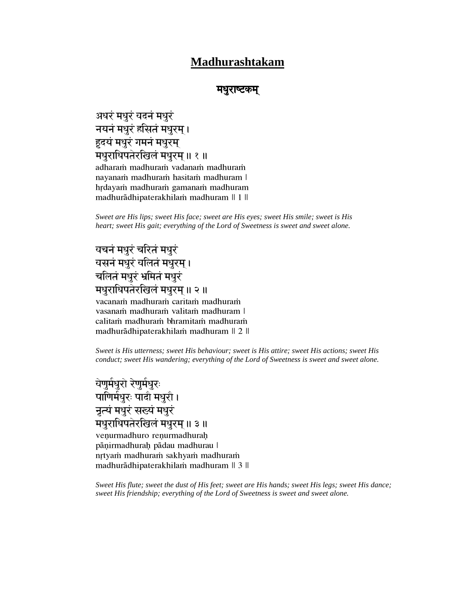## **Madhurashtakam**

### मधराष्टकम

अधरं मधुरं वदनं मधुरं नयनं मधुरं हसितं मधुरम। हृदयं मधुरं गमनं मधुरम् मधुराधिपतेरखिलं मधुरम् ॥ १ ॥ adharam madhuram vadanam madhuram nayanam madhuram hasitam madhuram | hrdayam madhuram gamanam madhuram madhurādhipaterakhilam madhuram || 1 ||

*Sweet are His lips; sweet His face; sweet are His eyes; sweet His smile; sweet is His heart; sweet His gait; everything of the Lord of Sweetness is sweet and sweet alone.*

# घचनं मधुरं चरितं मधुरं घसनं मधुरं चलितं मधुरम् । चलितं मधुरं भ्रमितं मधुरं

#### मधुराधिपतेरखिलं मधुरम् ॥ २ ॥ vacanam madhuram caritam madhuram vasanam madhuram valitam madhuram | calitam madhuram bhramitam madhuram madhurādhipaterakhilam madhuram || 2 ||

*Sweet is His utterness; sweet His behaviour; sweet is His attire; sweet His actions; sweet His conduct; sweet His wandering; everything of the Lord of Sweetness is sweet and sweet alone.*

वेणुर्मधुरो रेणुर्मधुरः पाणिर्मधुरः पादौ मधुरौ । नृत्यं मधुरं सख्यं मधुरं मधुराधिपतेरखिलं मधुरम् ॥ ३ ॥ venurmadhuro renurmadhurah pāņirmadhurah pādau madhurau | nrtyam madhuram sakhyam madhuram madhurādhipaterakhilam madhuram || 3 ||

*Sweet His flute; sweet the dust of His feet; sweet are His hands; sweet His legs; sweet His dance; sweet His friendship; everything of the Lord of Sweetness is sweet and sweet alone.*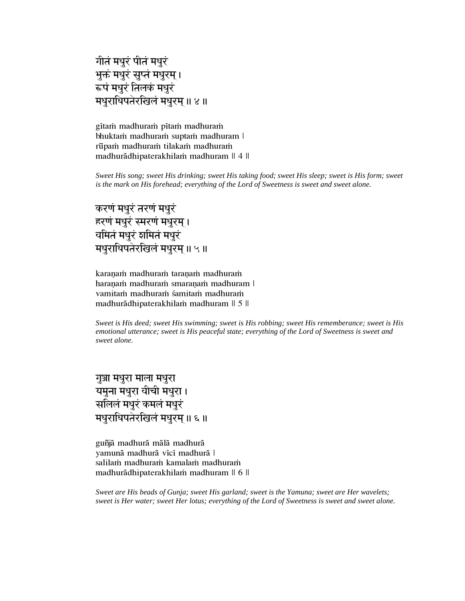```
गीतं मधुरं पीतं मधुरं
भुक्तं मधुरं सुप्तं मधुरम् ।
रूपं मधुरं तिलकं मधुरं
मधुराधिपतेरखिलं मधुरम ॥ ४ ॥
```
gītam madhuram pītam madhuram bhuktam madhuram suptam madhuram | rūpam madhuram tilakam madhuram madhurādhipaterakhilam madhuram || 4 ||

*Sweet His song; sweet His drinking; sweet His taking food; sweet His sleep; sweet is His form; sweet is the mark on His forehead; everything of the Lord of Sweetness is sweet and sweet alone.*

करणं मधुरं तरणं मधुरं हरणं मधुरं स्मरणं मधुरम। यमितं मधुरं शमितं मधुरं मधुराधिपतेरखिलं मधुरम् ॥ ५ ॥

karanam madhuram taranam madhuram haranam madhuram smaranam madhuram | vamitam madhuram śamitam madhuram madhurādhipaterakhilam madhuram || 5 ||

*Sweet is His deed; sweet His swimming; sweet is His robbing; sweet His rememberance; sweet is His emotional utterance; sweet is His peaceful state; everything of the Lord of Sweetness is sweet and sweet alone.*

गुञ्जा मधुरा माला मधुरा यमुना मधुरा वीची मधुरा। सलिलं मधरं कमलं मधरं मधुराधिपतेरखिलं मधुरम् ॥ ६ ॥

guñjā madhurā mālā madhurā vamunā madhurā vīcī madhurā | salilam madhuram kamalam madhuram madhurādhipaterakhilam madhuram || 6 ||

*Sweet are His beads of Gunja; sweet His garland; sweet is the Yamuna; sweet are Her wavelets; sweet is Her water; sweet Her lotus; everything of the Lord of Sweetness is sweet and sweet alone.*